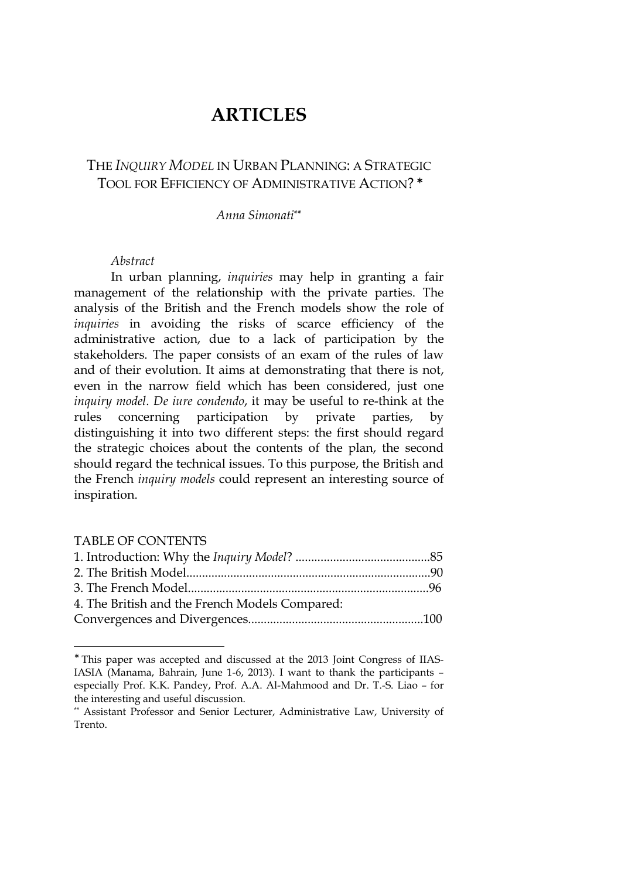# **ARTICLES**

# THE *INQUIRY MODEL* IN URBAN PLANNING: A STRATEGIC TOOL FOR EFFICIENCY OF ADMINISTRATIVE ACTION? ∗

## *Anna Simonati***\*\***

#### *Abstract*

In urban planning, *inquiries* may help in granting a fair management of the relationship with the private parties. The analysis of the British and the French models show the role of *inquiries* in avoiding the risks of scarce efficiency of the administrative action, due to a lack of participation by the stakeholders. The paper consists of an exam of the rules of law and of their evolution. It aims at demonstrating that there is not, even in the narrow field which has been considered, just one *inquiry model*. *De iure condendo*, it may be useful to re-think at the rules concerning participation by private parties, by distinguishing it into two different steps: the first should regard the strategic choices about the contents of the plan, the second should regard the technical issues. To this purpose, the British and the French *inquiry models* could represent an interesting source of inspiration.

#### TABLE OF CONTENTS

| 4. The British and the French Models Compared: |  |
|------------------------------------------------|--|
|                                                |  |

<sup>∗</sup> This paper was accepted and discussed at the 2013 Joint Congress of IIAS-IASIA (Manama, Bahrain, June 1-6, 2013). I want to thank the participants – especially Prof. K.K. Pandey, Prof. A.A. Al-Mahmood and Dr. T.-S. Liao – for the interesting and useful discussion.

<sup>\*\*</sup> Assistant Professor and Senior Lecturer, Administrative Law, University of Trento.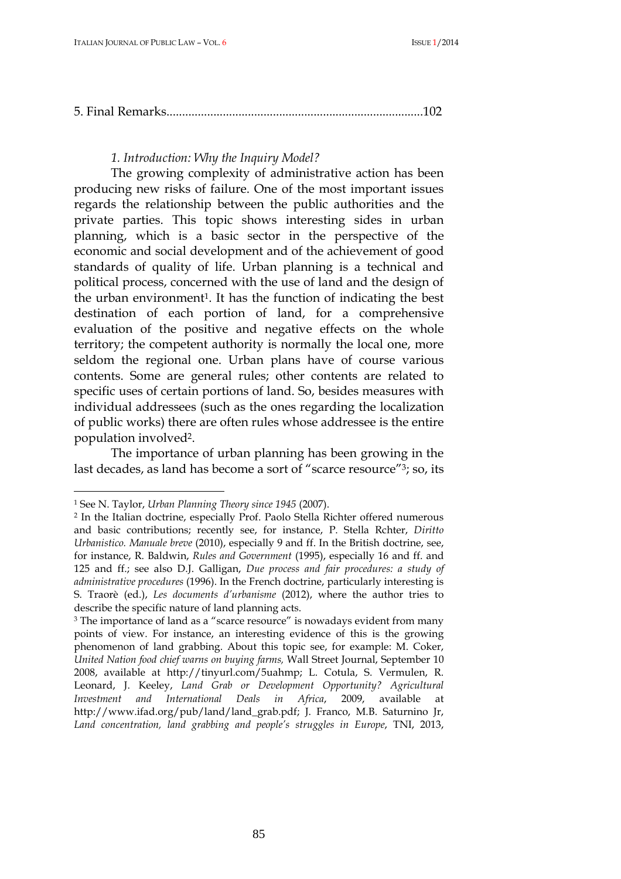|--|--|

#### *1. Introduction: Why the Inquiry Model?*

The growing complexity of administrative action has been producing new risks of failure. One of the most important issues regards the relationship between the public authorities and the private parties. This topic shows interesting sides in urban planning, which is a basic sector in the perspective of the economic and social development and of the achievement of good standards of quality of life. Urban planning is a technical and political process, concerned with the use of land and the design of the urban environment<sup>1</sup>. It has the function of indicating the best destination of each portion of land, for a comprehensive evaluation of the positive and negative effects on the whole territory; the competent authority is normally the local one, more seldom the regional one. Urban plans have of course various contents. Some are general rules; other contents are related to specific uses of certain portions of land. So, besides measures with individual addressees (such as the ones regarding the localization of public works) there are often rules whose addressee is the entire population involved<sup>2</sup>.

The importance of urban planning has been growing in the last decades, as land has become a sort of "scarce resource"<sup>3</sup>; so, its

<sup>1</sup> See N. Taylor, *Urban Planning Theory since 1945* (2007).

<sup>2</sup> In the Italian doctrine, especially Prof. Paolo Stella Richter offered numerous and basic contributions; recently see, for instance, P. Stella Rchter, *Diritto Urbanistico. Manuale breve* (2010), especially 9 and ff. In the British doctrine, see, for instance, R. Baldwin, *Rules and Government* (1995), especially 16 and ff. and 125 and ff.; see also D.J. Galligan, *Due process and fair procedures: a study of administrative procedures* (1996). In the French doctrine, particularly interesting is S. Traorè (ed.), *Les documents d'urbanisme* (2012), where the author tries to describe the specific nature of land planning acts.

<sup>&</sup>lt;sup>3</sup> The importance of land as a "scarce resource" is nowadays evident from many points of view. For instance, an interesting evidence of this is the growing phenomenon of land grabbing. About this topic see, for example: M. Coker, *United Nation food chief warns on buying farms,* Wall Street Journal, September 10 2008, available at http://tinyurl.com/5uahmp; L. Cotula, S. Vermulen, R. Leonard, J. Keeley, *Land Grab or Development Opportunity? Agricultural Investment and International Deals in Africa*, 2009, available at http://www.ifad.org/pub/land/land\_grab.pdf; J. Franco, M.B. Saturnino Jr, *Land concentration, land grabbing and people's struggles in Europe*, TNI, 2013,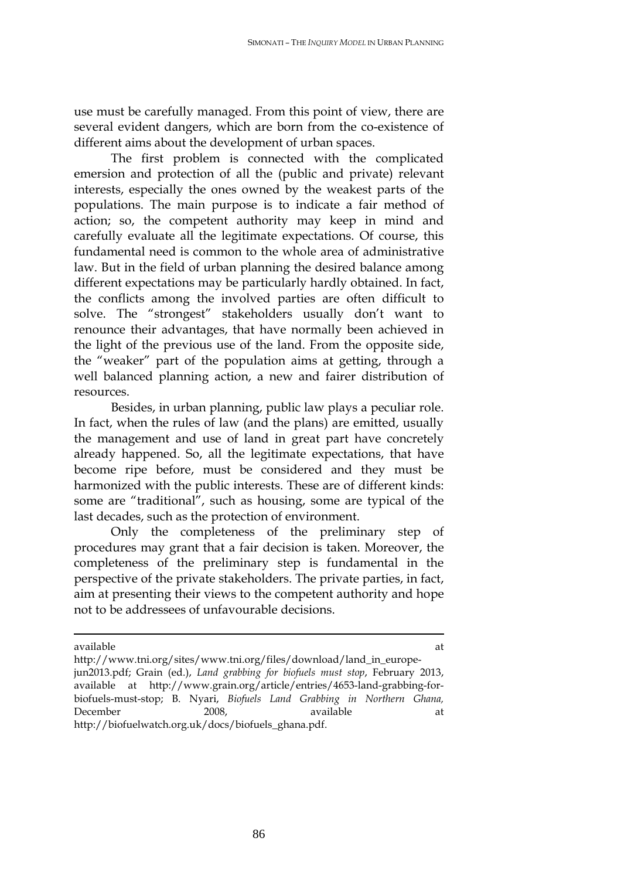use must be carefully managed. From this point of view, there are several evident dangers, which are born from the co-existence of different aims about the development of urban spaces.

The first problem is connected with the complicated emersion and protection of all the (public and private) relevant interests, especially the ones owned by the weakest parts of the populations. The main purpose is to indicate a fair method of action; so, the competent authority may keep in mind and carefully evaluate all the legitimate expectations. Of course, this fundamental need is common to the whole area of administrative law. But in the field of urban planning the desired balance among different expectations may be particularly hardly obtained. In fact, the conflicts among the involved parties are often difficult to solve. The "strongest" stakeholders usually don't want to renounce their advantages, that have normally been achieved in the light of the previous use of the land. From the opposite side, the "weaker" part of the population aims at getting, through a well balanced planning action, a new and fairer distribution of resources.

Besides, in urban planning, public law plays a peculiar role. In fact, when the rules of law (and the plans) are emitted, usually the management and use of land in great part have concretely already happened. So, all the legitimate expectations, that have become ripe before, must be considered and they must be harmonized with the public interests. These are of different kinds: some are "traditional", such as housing, some are typical of the last decades, such as the protection of environment.

Only the completeness of the preliminary step of procedures may grant that a fair decision is taken. Moreover, the completeness of the preliminary step is fundamental in the perspective of the private stakeholders. The private parties, in fact, aim at presenting their views to the competent authority and hope not to be addressees of unfavourable decisions.

available at the state of the state at the state at the state  $\mathbf{a}$ 

http://www.tni.org/sites/www.tni.org/files/download/land\_in\_europejun2013.pdf; Grain (ed.), *Land grabbing for biofuels must stop*, February 2013, available at http://www.grain.org/article/entries/4653-land-grabbing-forbiofuels-must-stop; B. Nyari, *Biofuels Land Grabbing in Northern Ghana,*  December 2008, available at at http://biofuelwatch.org.uk/docs/biofuels\_ghana.pdf.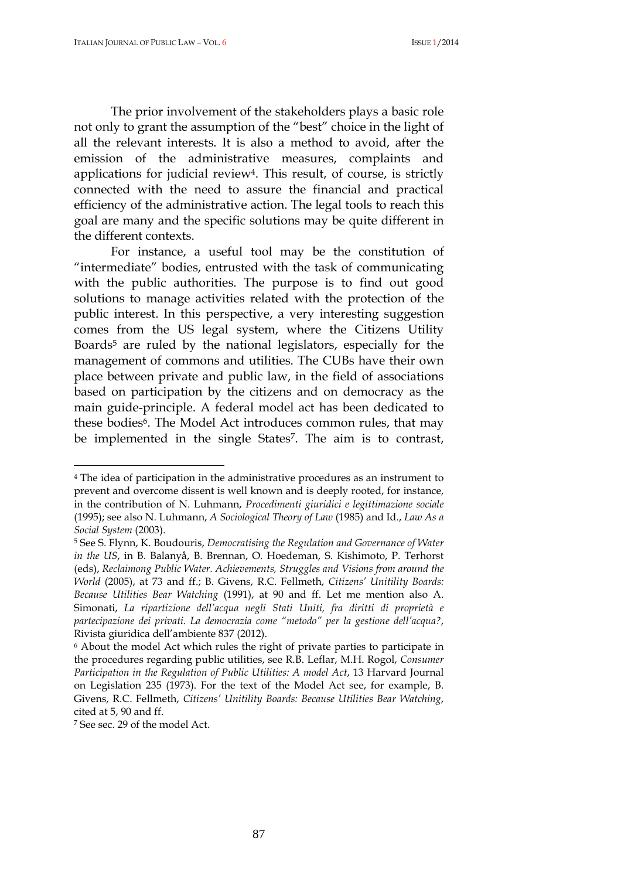The prior involvement of the stakeholders plays a basic role not only to grant the assumption of the "best" choice in the light of all the relevant interests. It is also a method to avoid, after the emission of the administrative measures, complaints and applications for judicial review<sup>4</sup>. This result, of course, is strictly connected with the need to assure the financial and practical efficiency of the administrative action. The legal tools to reach this goal are many and the specific solutions may be quite different in the different contexts.

For instance, a useful tool may be the constitution of "intermediate" bodies, entrusted with the task of communicating with the public authorities. The purpose is to find out good solutions to manage activities related with the protection of the public interest. In this perspective, a very interesting suggestion comes from the US legal system, where the Citizens Utility Boards<sup>5</sup> are ruled by the national legislators, especially for the management of commons and utilities. The CUBs have their own place between private and public law, in the field of associations based on participation by the citizens and on democracy as the main guide-principle. A federal model act has been dedicated to these bodies<sup>6</sup>. The Model Act introduces common rules, that may be implemented in the single States<sup>7</sup>. The aim is to contrast,

<sup>4</sup> The idea of participation in the administrative procedures as an instrument to prevent and overcome dissent is well known and is deeply rooted, for instance, in the contribution of N. Luhmann, *Procedimenti giuridici e legittimazione sociale* (1995); see also N. Luhmann, *A Sociological Theory of Law* (1985) and Id., *Law As a Social System* (2003).

<sup>5</sup> See S. Flynn, K. Boudouris, *Democratising the Regulation and Governance of Water in the US*, in B. Balanyå, B. Brennan, O. Hoedeman, S. Kishimoto, P. Terhorst (eds), *Reclaimong Public Water. Achievements, Struggles and Visions from around the World* (2005), at 73 and ff.; B. Givens, R.C. Fellmeth, *Citizens' Unitility Boards: Because Utilities Bear Watching* (1991), at 90 and ff. Let me mention also A. Simonati, *La ripartizione dell'acqua negli Stati Uniti, fra diritti di proprietà e partecipazione dei privati. La democrazia come "metodo" per la gestione dell'acqua?*, Rivista giuridica dell'ambiente 837 (2012).

<sup>6</sup> About the model Act which rules the right of private parties to participate in the procedures regarding public utilities, see R.B. Leflar, M.H. Rogol, *Consumer Participation in the Regulation of Public Utilities: A model Act*, 13 Harvard Journal on Legislation 235 (1973). For the text of the Model Act see, for example, B. Givens, R.C. Fellmeth, *Citizens' Unitility Boards: Because Utilities Bear Watching*, cited at 5, 90 and ff.

<sup>7</sup> See sec. 29 of the model Act.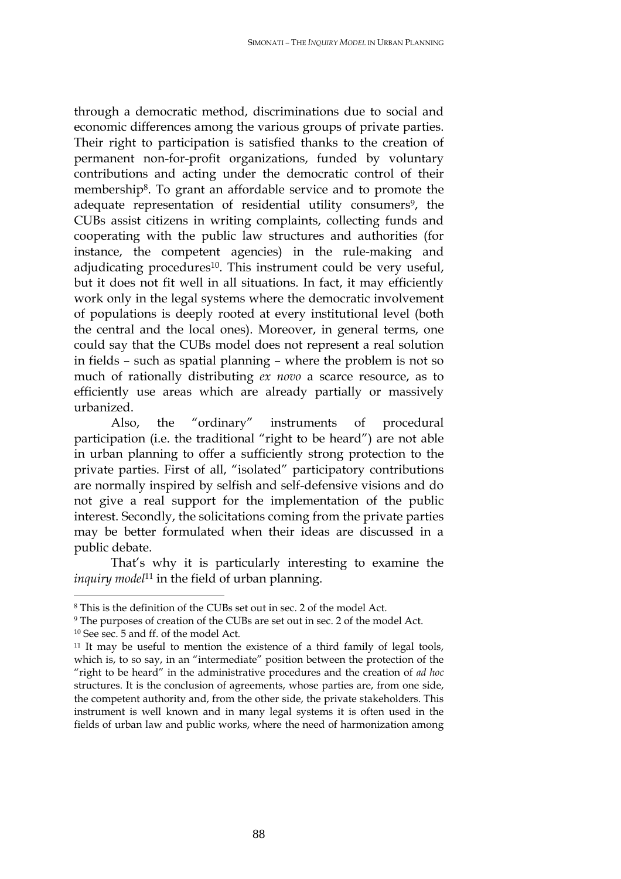through a democratic method, discriminations due to social and economic differences among the various groups of private parties. Their right to participation is satisfied thanks to the creation of permanent non-for-profit organizations, funded by voluntary contributions and acting under the democratic control of their membership<sup>8</sup>. To grant an affordable service and to promote the adequate representation of residential utility consumers<sup>9</sup>, the CUBs assist citizens in writing complaints, collecting funds and cooperating with the public law structures and authorities (for instance, the competent agencies) in the rule-making and adjudicating procedures<sup>10</sup>. This instrument could be very useful, but it does not fit well in all situations. In fact, it may efficiently work only in the legal systems where the democratic involvement of populations is deeply rooted at every institutional level (both the central and the local ones). Moreover, in general terms, one could say that the CUBs model does not represent a real solution in fields – such as spatial planning – where the problem is not so much of rationally distributing *ex novo* a scarce resource, as to efficiently use areas which are already partially or massively urbanized.

Also, the "ordinary" instruments of procedural participation (i.e. the traditional "right to be heard") are not able in urban planning to offer a sufficiently strong protection to the private parties. First of all, "isolated" participatory contributions are normally inspired by selfish and self-defensive visions and do not give a real support for the implementation of the public interest. Secondly, the solicitations coming from the private parties may be better formulated when their ideas are discussed in a public debate.

That's why it is particularly interesting to examine the *inquiry model*<sup>11</sup> in the field of urban planning.

<sup>8</sup> This is the definition of the CUBs set out in sec. 2 of the model Act.

<sup>9</sup> The purposes of creation of the CUBs are set out in sec. 2 of the model Act.

<sup>10</sup> See sec. 5 and ff. of the model Act*.*

<sup>11</sup> It may be useful to mention the existence of a third family of legal tools, which is, to so say, in an "intermediate" position between the protection of the "right to be heard" in the administrative procedures and the creation of *ad hoc* structures. It is the conclusion of agreements, whose parties are, from one side, the competent authority and, from the other side, the private stakeholders. This instrument is well known and in many legal systems it is often used in the fields of urban law and public works, where the need of harmonization among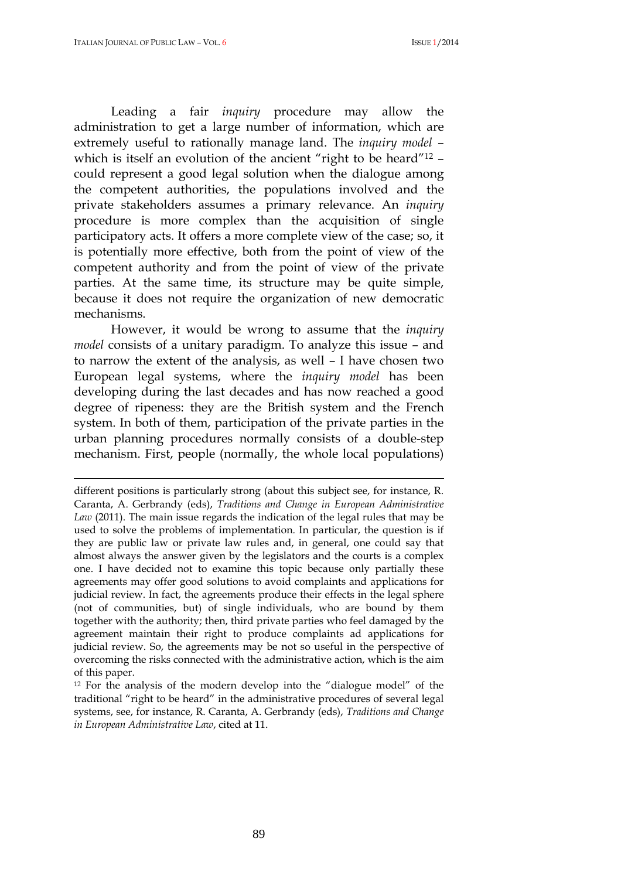Leading a fair *inquiry* procedure may allow the administration to get a large number of information, which are extremely useful to rationally manage land. The *inquiry model* – which is itself an evolution of the ancient "right to be heard"<sup>12</sup> could represent a good legal solution when the dialogue among the competent authorities, the populations involved and the private stakeholders assumes a primary relevance. An *inquiry*  procedure is more complex than the acquisition of single participatory acts. It offers a more complete view of the case; so, it is potentially more effective, both from the point of view of the competent authority and from the point of view of the private parties. At the same time, its structure may be quite simple, because it does not require the organization of new democratic mechanisms.

However, it would be wrong to assume that the *inquiry model* consists of a unitary paradigm. To analyze this issue – and to narrow the extent of the analysis, as well – I have chosen two European legal systems, where the *inquiry model* has been developing during the last decades and has now reached a good degree of ripeness: they are the British system and the French system. In both of them, participation of the private parties in the urban planning procedures normally consists of a double-step mechanism. First, people (normally, the whole local populations)

different positions is particularly strong (about this subject see, for instance, R. Caranta, A. Gerbrandy (eds), *Traditions and Change in European Administrative Law* (2011). The main issue regards the indication of the legal rules that may be used to solve the problems of implementation. In particular, the question is if they are public law or private law rules and, in general, one could say that almost always the answer given by the legislators and the courts is a complex one. I have decided not to examine this topic because only partially these agreements may offer good solutions to avoid complaints and applications for judicial review. In fact, the agreements produce their effects in the legal sphere (not of communities, but) of single individuals, who are bound by them together with the authority; then, third private parties who feel damaged by the agreement maintain their right to produce complaints ad applications for judicial review. So, the agreements may be not so useful in the perspective of overcoming the risks connected with the administrative action, which is the aim of this paper.

<sup>12</sup> For the analysis of the modern develop into the "dialogue model" of the traditional "right to be heard" in the administrative procedures of several legal systems, see, for instance, R. Caranta, A. Gerbrandy (eds), *Traditions and Change in European Administrative Law*, cited at 11.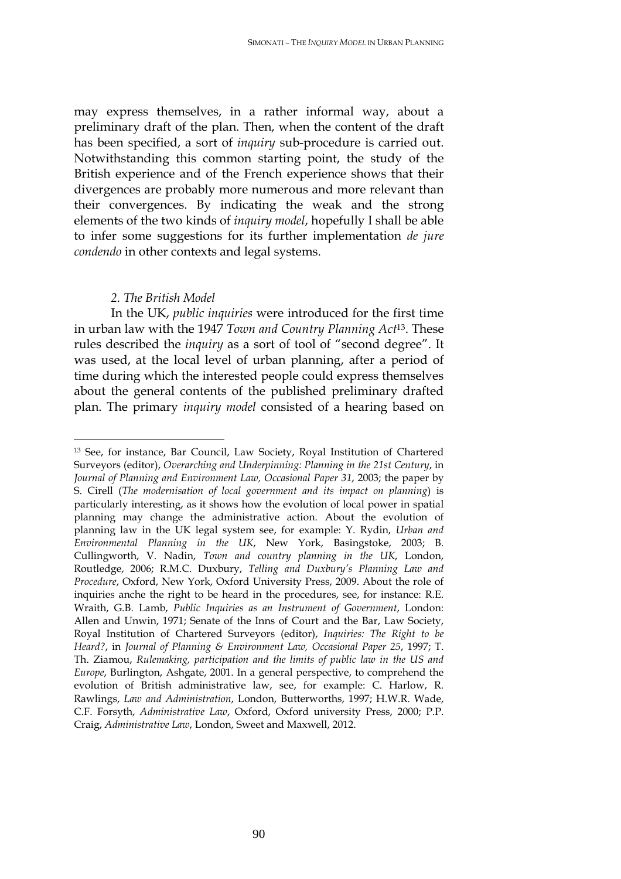may express themselves, in a rather informal way, about a preliminary draft of the plan. Then, when the content of the draft has been specified, a sort of *inquiry* sub-procedure is carried out. Notwithstanding this common starting point, the study of the British experience and of the French experience shows that their divergences are probably more numerous and more relevant than their convergences. By indicating the weak and the strong elements of the two kinds of *inquiry model*, hopefully I shall be able to infer some suggestions for its further implementation *de jure condendo* in other contexts and legal systems.

### *2. The British Model*

 $\overline{a}$ 

In the UK, *public inquiries* were introduced for the first time in urban law with the 1947 *Town and Country Planning Act*<sup>13</sup>. These rules described the *inquiry* as a sort of tool of "second degree". It was used, at the local level of urban planning, after a period of time during which the interested people could express themselves about the general contents of the published preliminary drafted plan. The primary *inquiry model* consisted of a hearing based on

<sup>13</sup> See, for instance, Bar Council, Law Society, Royal Institution of Chartered Surveyors (editor), *Overarching and Underpinning: Planning in the 21st Century*, in *Journal of Planning and Environment Law, Occasional Paper 31*, 2003; the paper by S. Cirell (*The modernisation of local government and its impact on planning*) is particularly interesting, as it shows how the evolution of local power in spatial planning may change the administrative action. About the evolution of planning law in the UK legal system see, for example: Y. Rydin, *Urban and Environmental Planning in the UK*, New York, Basingstoke, 2003; B. Cullingworth, V. Nadin, *Town and country planning in the UK*, London, Routledge, 2006; R.M.C. Duxbury, *Telling and Duxbury's Planning Law and Procedure*, Oxford, New York, Oxford University Press, 2009. About the role of inquiries anche the right to be heard in the procedures, see, for instance: R.E. Wraith, G.B. Lamb, *Public Inquiries as an Instrument of Government*, London: Allen and Unwin, 1971; Senate of the Inns of Court and the Bar, Law Society, Royal Institution of Chartered Surveyors (editor), *Inquiries: The Right to be Heard?*, in *Journal of Planning & Environment Law, Occasional Paper 25*, 1997; T. Th. Ziamou, *Rulemaking, participation and the limits of public law in the US and Europe*, Burlington, Ashgate, 2001. In a general perspective, to comprehend the evolution of British administrative law, see, for example: C. Harlow, R. Rawlings, *Law and Administration*, London, Butterworths, 1997; H.W.R. Wade, C.F. Forsyth, *Administrative Law*, Oxford, Oxford university Press, 2000; P.P. Craig, *Administrative Law*, London, Sweet and Maxwell, 2012.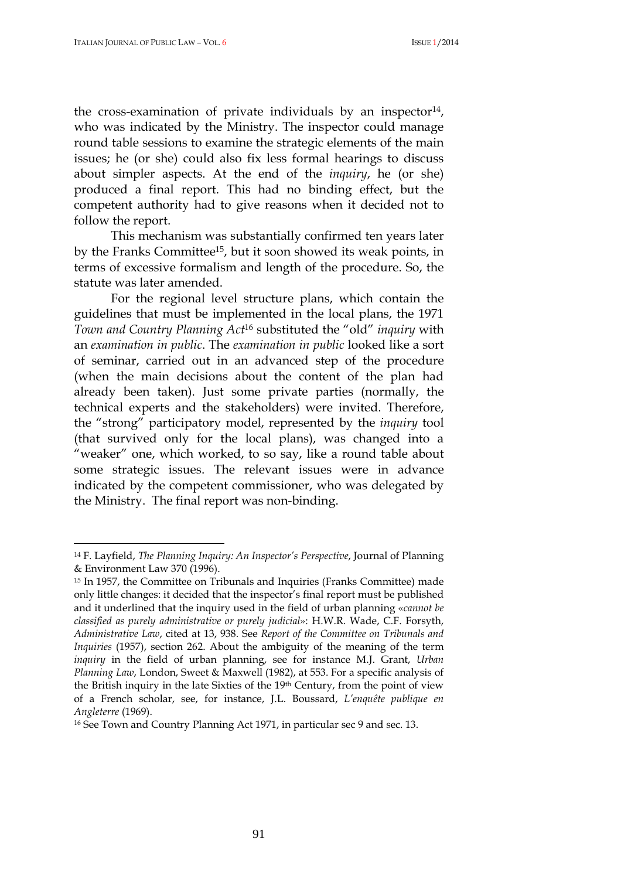the cross-examination of private individuals by an inspector<sup>14</sup>, who was indicated by the Ministry. The inspector could manage round table sessions to examine the strategic elements of the main issues; he (or she) could also fix less formal hearings to discuss about simpler aspects. At the end of the *inquiry*, he (or she) produced a final report. This had no binding effect, but the competent authority had to give reasons when it decided not to follow the report.

This mechanism was substantially confirmed ten years later by the Franks Committee<sup>15</sup>, but it soon showed its weak points, in terms of excessive formalism and length of the procedure. So, the statute was later amended.

For the regional level structure plans, which contain the guidelines that must be implemented in the local plans, the 1971 *Town and Country Planning Act*<sup>16</sup> substituted the "old" *inquiry* with an *examination in public*. The *examination in public* looked like a sort of seminar, carried out in an advanced step of the procedure (when the main decisions about the content of the plan had already been taken). Just some private parties (normally, the technical experts and the stakeholders) were invited. Therefore, the "strong" participatory model, represented by the *inquiry* tool (that survived only for the local plans), was changed into a "weaker" one, which worked, to so say, like a round table about some strategic issues. The relevant issues were in advance indicated by the competent commissioner, who was delegated by the Ministry. The final report was non-binding.

<sup>14</sup> F. Layfield, *The Planning Inquiry: An Inspector's Perspective*, Journal of Planning & Environment Law 370 (1996).

<sup>15</sup> In 1957, the Committee on Tribunals and Inquiries (Franks Committee) made only little changes: it decided that the inspector's final report must be published and it underlined that the inquiry used in the field of urban planning «*cannot be classified as purely administrative or purely judicial*»: H.W.R. Wade, C.F. Forsyth, *Administrative Law*, cited at 13, 938. See *Report of the Committee on Tribunals and Inquiries* (1957), section 262. About the ambiguity of the meaning of the term *inquiry* in the field of urban planning, see for instance M.J. Grant, *Urban Planning Law*, London, Sweet & Maxwell (1982), at 553. For a specific analysis of the British inquiry in the late Sixties of the 19th Century, from the point of view of a French scholar, see, for instance, J.L. Boussard, *L'enquête publique en Angleterre* (1969).

<sup>16</sup> See Town and Country Planning Act 1971, in particular sec 9 and sec. 13.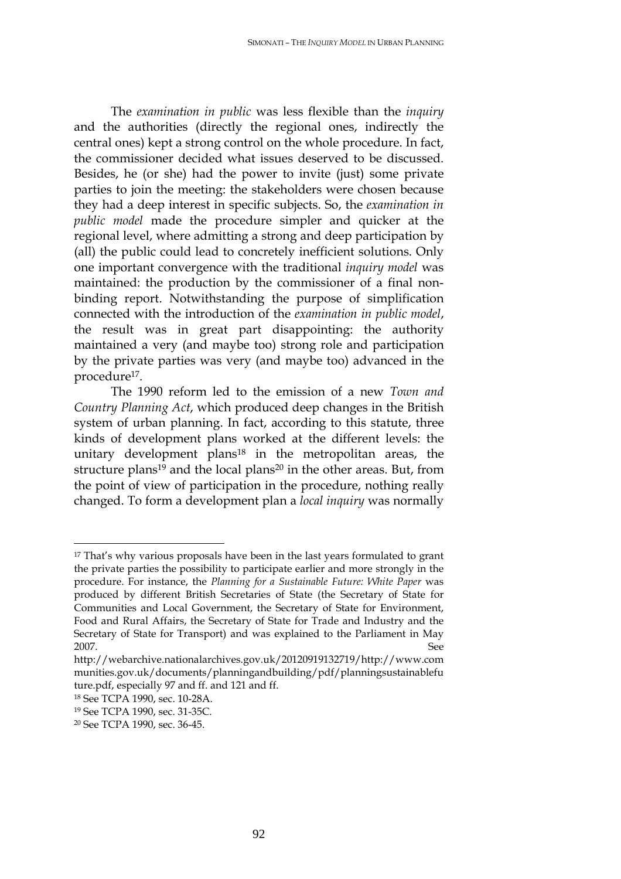The *examination in public* was less flexible than the *inquiry* and the authorities (directly the regional ones, indirectly the central ones) kept a strong control on the whole procedure. In fact, the commissioner decided what issues deserved to be discussed. Besides, he (or she) had the power to invite (just) some private parties to join the meeting: the stakeholders were chosen because they had a deep interest in specific subjects. So, the *examination in public model* made the procedure simpler and quicker at the regional level, where admitting a strong and deep participation by (all) the public could lead to concretely inefficient solutions. Only one important convergence with the traditional *inquiry model* was maintained: the production by the commissioner of a final nonbinding report. Notwithstanding the purpose of simplification connected with the introduction of the *examination in public model*, the result was in great part disappointing: the authority maintained a very (and maybe too) strong role and participation by the private parties was very (and maybe too) advanced in the procedure<sup>17</sup>.

The 1990 reform led to the emission of a new *Town and Country Planning Act*, which produced deep changes in the British system of urban planning. In fact, according to this statute, three kinds of development plans worked at the different levels: the unitary development plans<sup>18</sup> in the metropolitan areas, the structure plans<sup>19</sup> and the local plans<sup>20</sup> in the other areas. But, from the point of view of participation in the procedure, nothing really changed. To form a development plan a *local inquiry* was normally

<sup>17</sup> That's why various proposals have been in the last years formulated to grant the private parties the possibility to participate earlier and more strongly in the procedure. For instance, the *Planning for a Sustainable Future: White Paper* was produced by different British Secretaries of State (the Secretary of State for Communities and Local Government, the Secretary of State for Environment, Food and Rural Affairs, the Secretary of State for Trade and Industry and the Secretary of State for Transport) and was explained to the Parliament in May 2007. See

http://webarchive.nationalarchives.gov.uk/20120919132719/http://www.com munities.gov.uk/documents/planningandbuilding/pdf/planningsustainablefu ture.pdf, especially 97 and ff. and 121 and ff.

<sup>18</sup> See TCPA 1990, sec. 10-28A.

<sup>19</sup> See TCPA 1990, sec. 31-35C.

<sup>20</sup> See TCPA 1990, sec. 36-45.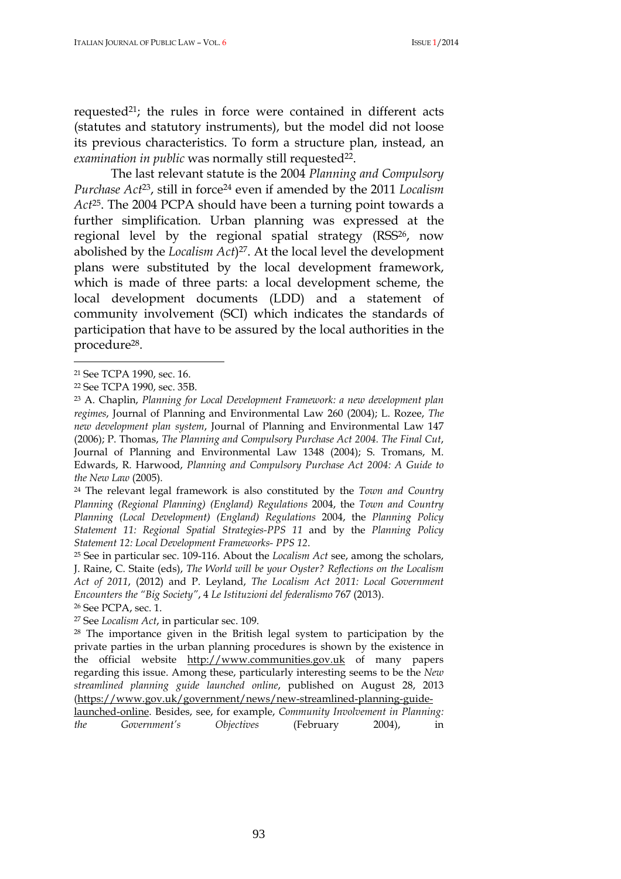requested<sup>21</sup>; the rules in force were contained in different acts (statutes and statutory instruments), but the model did not loose its previous characteristics. To form a structure plan, instead, an *examination in public* was normally still requested<sup>22</sup>.

The last relevant statute is the 2004 *Planning and Compulsory Purchase Act*<sup>23</sup>, still in force<sup>24</sup> even if amended by the 2011 *Localism Act*<sup>25</sup>. The 2004 PCPA should have been a turning point towards a further simplification. Urban planning was expressed at the regional level by the regional spatial strategy (RSS<sup>26</sup>, now abolished by the *Localism Act*) <sup>27</sup>. At the local level the development plans were substituted by the local development framework, which is made of three parts: a local development scheme, the local development documents (LDD) and a statement of community involvement (SCI) which indicates the standards of participation that have to be assured by the local authorities in the procedure<sup>28</sup>.

 $\overline{a}$ 

<sup>24</sup> The relevant legal framework is also constituted by the *Town and Country Planning (Regional Planning) (England) Regulations* 2004, the *Town and Country Planning (Local Development) (England) Regulations* 2004, the *Planning Policy Statement 11: Regional Spatial Strategies-PPS 11* and by the *Planning Policy Statement 12: Local Development Frameworks- PPS 12*.

<sup>25</sup> See in particular sec. 109-116. About the *Localism Act* see, among the scholars, J. Raine, C. Staite (eds), *The World will be your Oyster? Reflections on the Localism Act of 2011*, (2012) and P. Leyland, *The Localism Act 2011: Local Government Encounters the "Big Society"*, 4 *Le Istituzioni del federalismo* 767 (2013).

<sup>26</sup> See PCPA, sec. 1.

<sup>27</sup> See *Localism Act*, in particular sec. 109.

<sup>28</sup> The importance given in the British legal system to participation by the private parties in the urban planning procedures is shown by the existence in the official website http://www.communities.gov.uk of many papers regarding this issue. Among these, particularly interesting seems to be the *New streamlined planning guide launched online*, published on August 28, 2013 (https://www.gov.uk/government/news/new-streamlined-planning-guide-

<sup>21</sup> See TCPA 1990, sec. 16.

<sup>22</sup> See TCPA 1990, sec. 35B.

<sup>23</sup> A. Chaplin, *Planning for Local Development Framework: a new development plan regimes*, Journal of Planning and Environmental Law 260 (2004); L. Rozee, *The new development plan system*, Journal of Planning and Environmental Law 147 (2006); P. Thomas, *The Planning and Compulsory Purchase Act 2004. The Final Cut*, Journal of Planning and Environmental Law 1348 (2004); S. Tromans, M. Edwards, R. Harwood, *Planning and Compulsory Purchase Act 2004: A Guide to the New Law* (2005).

launched-online. Besides, see, for example, *Community Involvement in Planning: the Government's Objectives* (February 2004), in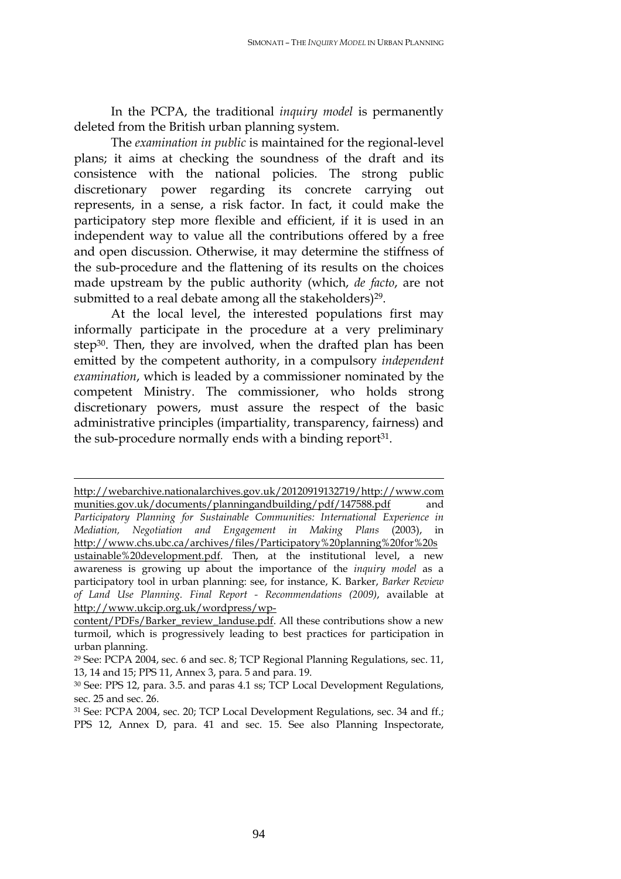In the PCPA, the traditional *inquiry model* is permanently deleted from the British urban planning system.

The *examination in public* is maintained for the regional-level plans; it aims at checking the soundness of the draft and its consistence with the national policies. The strong public discretionary power regarding its concrete carrying out represents, in a sense, a risk factor. In fact, it could make the participatory step more flexible and efficient, if it is used in an independent way to value all the contributions offered by a free and open discussion. Otherwise, it may determine the stiffness of the sub-procedure and the flattening of its results on the choices made upstream by the public authority (which, *de facto*, are not submitted to a real debate among all the stakeholders)<sup>29</sup>.

At the local level, the interested populations first may informally participate in the procedure at a very preliminary step<sup>30</sup>. Then, they are involved, when the drafted plan has been emitted by the competent authority, in a compulsory *independent examination*, which is leaded by a commissioner nominated by the competent Ministry. The commissioner, who holds strong discretionary powers, must assure the respect of the basic administrative principles (impartiality, transparency, fairness) and the sub-procedure normally ends with a binding report<sup>31</sup>.

http://webarchive.nationalarchives.gov.uk/20120919132719/http://www.com munities.gov.uk/documents/planningandbuilding/pdf/147588.pdf and *Participatory Planning for Sustainable Communities: International Experience in Mediation, Negotiation and Engagement in Making Plans* (2003), in http://www.chs.ubc.ca/archives/files/Participatory%20planning%20for%20s ustainable%20development.pdf. Then, at the institutional level, a new awareness is growing up about the importance of the *inquiry model* as a participatory tool in urban planning: see, for instance, K. Barker, *Barker Review of Land Use Planning. Final Report - Recommendations (2009)*, available at http://www.ukcip.org.uk/wordpress/wp-

content/PDFs/Barker\_review\_landuse.pdf. All these contributions show a new turmoil, which is progressively leading to best practices for participation in urban planning.

<sup>29</sup> See: PCPA 2004, sec. 6 and sec. 8; TCP Regional Planning Regulations, sec. 11, 13, 14 and 15; PPS 11, Annex 3, para. 5 and para. 19.

<sup>30</sup> See: PPS 12, para. 3.5. and paras 4.1 ss; TCP Local Development Regulations, sec. 25 and sec. 26.

<sup>31</sup> See: PCPA 2004, sec. 20; TCP Local Development Regulations, sec. 34 and ff.; PPS 12, Annex D, para. 41 and sec. 15. See also Planning Inspectorate,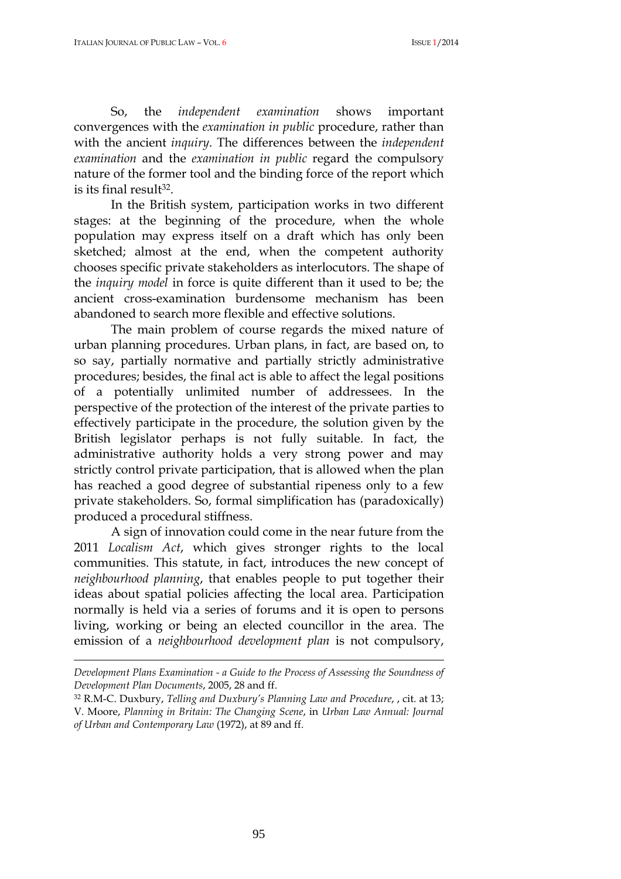So, the *independent examination* shows important convergences with the *examination in public* procedure, rather than with the ancient *inquiry*. The differences between the *independent examination* and the *examination in public* regard the compulsory nature of the former tool and the binding force of the report which is its final result<sup>32</sup>.

In the British system, participation works in two different stages: at the beginning of the procedure, when the whole population may express itself on a draft which has only been sketched; almost at the end, when the competent authority chooses specific private stakeholders as interlocutors. The shape of the *inquiry model* in force is quite different than it used to be; the ancient cross-examination burdensome mechanism has been abandoned to search more flexible and effective solutions.

The main problem of course regards the mixed nature of urban planning procedures. Urban plans, in fact, are based on, to so say, partially normative and partially strictly administrative procedures; besides, the final act is able to affect the legal positions of a potentially unlimited number of addressees. In the perspective of the protection of the interest of the private parties to effectively participate in the procedure, the solution given by the British legislator perhaps is not fully suitable. In fact, the administrative authority holds a very strong power and may strictly control private participation, that is allowed when the plan has reached a good degree of substantial ripeness only to a few private stakeholders. So, formal simplification has (paradoxically) produced a procedural stiffness.

A sign of innovation could come in the near future from the 2011 *Localism Act*, which gives stronger rights to the local communities. This statute, in fact, introduces the new concept of *neighbourhood planning*, that enables people to put together their ideas about spatial policies affecting the local area. Participation normally is held via a series of forums and it is open to persons living, working or being an elected councillor in the area. The emission of a *neighbourhood development plan* is not compulsory,

*Development Plans Examination - a Guide to the Process of Assessing the Soundness of Development Plan Documents*, 2005, 28 and ff.

<sup>32</sup> R.M-C. Duxbury, *Telling and Duxbury's Planning Law and Procedure*, , cit. at 13; V. Moore, *Planning in Britain: The Changing Scene*, in *Urban Law Annual: Journal of Urban and Contemporary Law* (1972), at 89 and ff.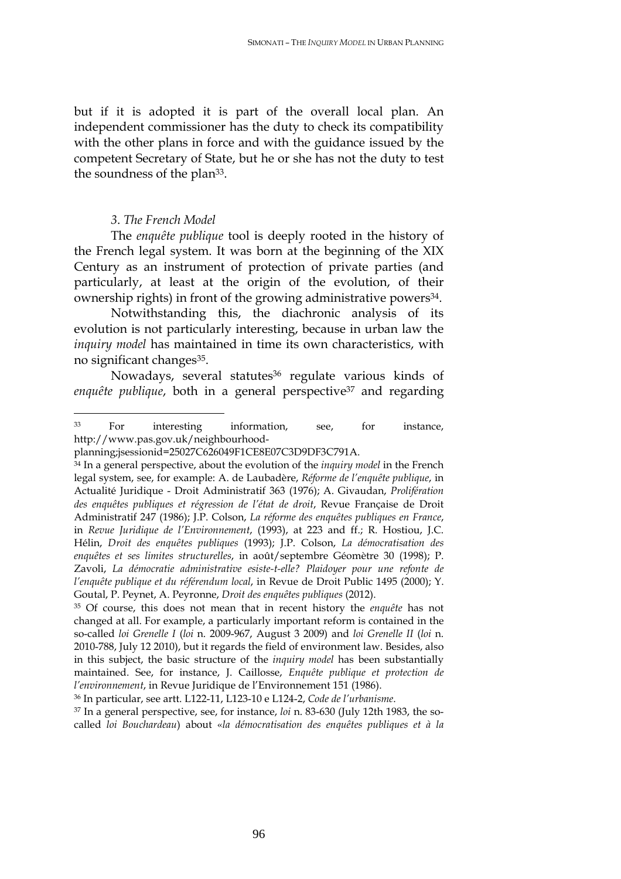but if it is adopted it is part of the overall local plan. An independent commissioner has the duty to check its compatibility with the other plans in force and with the guidance issued by the competent Secretary of State, but he or she has not the duty to test the soundness of the plan<sup>33</sup>.

# *3*. *The French Model*

The *enquête publique* tool is deeply rooted in the history of the French legal system. It was born at the beginning of the XIX Century as an instrument of protection of private parties (and particularly, at least at the origin of the evolution, of their ownership rights) in front of the growing administrative powers<sup>34</sup>.

Notwithstanding this, the diachronic analysis of its evolution is not particularly interesting, because in urban law the *inquiry model* has maintained in time its own characteristics, with no significant changes<sup>35</sup>.

Nowadays, several statutes<sup>36</sup> regulate various kinds of enquête publique, both in a general perspective<sup>37</sup> and regarding

<sup>36</sup> In particular, see artt. L122-11, L123-10 e L124-2, *Code de l'urbanisme*.

37 In a general perspective, see, for instance, *loi* n. 83-630 (July 12th 1983, the socalled *loi Bouchardeau*) about «*la démocratisation des enquêtes publiques et à la* 

 $\overline{a}$ <sup>33</sup> For interesting information, see, for instance, http://www.pas.gov.uk/neighbourhood-

planning;jsessionid=25027C626049F1CE8E07C3D9DF3C791A.

<sup>34</sup> In a general perspective, about the evolution of the *inquiry model* in the French legal system, see, for example: A. de Laubadère, *Réforme de l'enquête publique*, in Actualité Juridique - Droit Administratif 363 (1976); A. Givaudan, *Prolifération des enquêtes publiques et régression de l'état de droit*, Revue Française de Droit Administratif 247 (1986); J.P. Colson, *La réforme des enquêtes publiques en France*, in *Revue Juridique de l'Environnement*, (1993), at 223 and ff.; R. Hostiou, J.C. Hélin, *Droit des enquêtes publiques* (1993); J.P. Colson, *La démocratisation des enquêtes et ses limites structurelles*, in août/septembre Géomètre 30 (1998); P. Zavoli, *La démocratie administrative esiste-t-elle? Plaidoyer pour une refonte de l'enquête publique et du référendum local*, in Revue de Droit Public 1495 (2000); Y. Goutal, P. Peynet, A. Peyronne, *Droit des enquêtes publiques* (2012).

<sup>35</sup> Of course, this does not mean that in recent history the *enquête* has not changed at all. For example, a particularly important reform is contained in the so-called *loi Grenelle I* (*loi* n. 2009-967, August 3 2009) and *loi Grenelle II* (*loi* n. 2010-788, July 12 2010), but it regards the field of environment law. Besides, also in this subject, the basic structure of the *inquiry model* has been substantially maintained. See, for instance, J. Caillosse, *Enquête publique et protection de l'environnement*, in Revue Juridique de l'Environnement 151 (1986).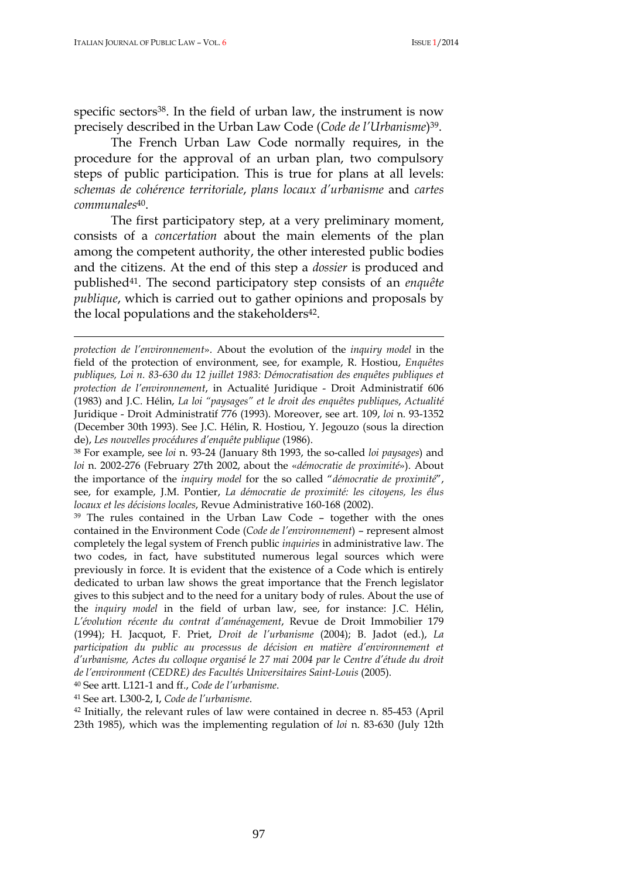specific sectors<sup>38</sup>. In the field of urban law, the instrument is now precisely described in the Urban Law Code (*Code de l'Urbanisme*) <sup>39</sup>.

The French Urban Law Code normally requires, in the procedure for the approval of an urban plan, two compulsory steps of public participation. This is true for plans at all levels: *schemas de cohérence territoriale*, *plans locaux d'urbanisme* and *cartes communales*<sup>40</sup>.

The first participatory step, at a very preliminary moment, consists of a *concertation* about the main elements of the plan among the competent authority, the other interested public bodies and the citizens. At the end of this step a *dossier* is produced and published<sup>41</sup>. The second participatory step consists of an *enquête publique*, which is carried out to gather opinions and proposals by the local populations and the stakeholders<sup>42</sup>.

<sup>39</sup> The rules contained in the Urban Law Code - together with the ones contained in the Environment Code (*Code de l'environnement*) – represent almost completely the legal system of French public *inquiries* in administrative law. The two codes, in fact, have substituted numerous legal sources which were previously in force. It is evident that the existence of a Code which is entirely dedicated to urban law shows the great importance that the French legislator gives to this subject and to the need for a unitary body of rules. About the use of the *inquiry model* in the field of urban law, see, for instance: J.C. Hélin, *L'évolution récente du contrat d'aménagement*, Revue de Droit Immobilier 179 (1994); H. Jacquot, F. Priet, *Droit de l'urbanisme* (2004); B. Jadot (ed.), *La participation du public au processus de décision en matière d'environnement et d'urbanisme, Actes du colloque organisé le 27 mai 2004 par le Centre d'étude du droit de l'environment (CEDRE) des Facultés Universitaires Saint-Louis* (2005).

<sup>40</sup> See artt. L121-1 and ff., *Code de l'urbanisme*.

<sup>41</sup> See art. L300-2, I, *Code de l'urbanisme*.

<sup>42</sup> Initially, the relevant rules of law were contained in decree n. 85-453 (April 23th 1985), which was the implementing regulation of *loi* n. 83-630 (July 12th

*protection de l'environnement*». About the evolution of the *inquiry model* in the field of the protection of environment, see, for example, R. Hostiou, *Enquêtes publiques, Loi n. 83-630 du 12 juillet 1983: Démocratisation des enquêtes publiques et protection de l'environnement*, in Actualité Juridique - Droit Administratif 606 (1983) and J.C. Hélin, *La loi "paysages" et le droit des enquêtes publiques*, *Actualité*  Juridique - Droit Administratif 776 (1993). Moreover, see art. 109, *loi* n. 93-1352 (December 30th 1993). See J.C. Hélin, R. Hostiou, Y. Jegouzo (sous la direction de), *Les nouvelles procédures d'enquête publique* (1986).

<sup>38</sup> For example, see *loi* n. 93-24 (January 8th 1993, the so-called *loi paysages*) and *loi* n. 2002-276 (February 27th 2002, about the «*démocratie de proximité*»). About the importance of the *inquiry model* for the so called "*démocratie de proximité*", see, for example, J.M. Pontier, *La démocratie de proximité: les citoyens, les élus locaux et les décisions locales*, Revue Administrative 160-168 (2002).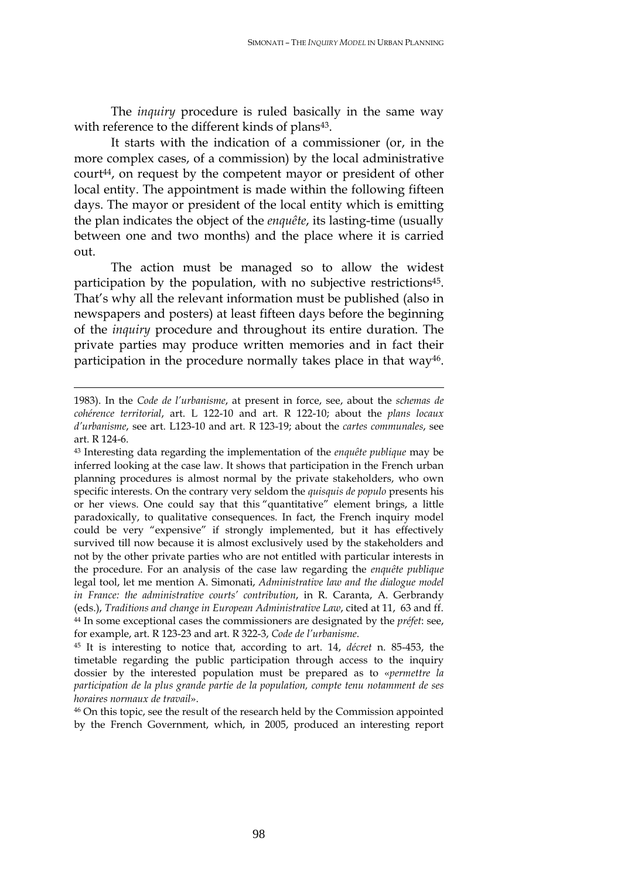The *inquiry* procedure is ruled basically in the same way with reference to the different kinds of plans<sup>43</sup>.

It starts with the indication of a commissioner (or, in the more complex cases, of a commission) by the local administrative court<sup>44</sup>, on request by the competent mayor or president of other local entity. The appointment is made within the following fifteen days. The mayor or president of the local entity which is emitting the plan indicates the object of the *enquête*, its lasting-time (usually between one and two months) and the place where it is carried out.

The action must be managed so to allow the widest participation by the population, with no subjective restrictions<sup>45</sup>. That's why all the relevant information must be published (also in newspapers and posters) at least fifteen days before the beginning of the *inquiry* procedure and throughout its entire duration. The private parties may produce written memories and in fact their participation in the procedure normally takes place in that way<sup>46</sup>.

<sup>1983).</sup> In the *Code de l'urbanisme*, at present in force, see, about the *schemas de cohérence territorial*, art. L 122-10 and art. R 122-10; about the *plans locaux d'urbanisme*, see art. L123-10 and art. R 123-19; about the *cartes communales*, see art. R 124-6.

<sup>43</sup> Interesting data regarding the implementation of the *enquête publique* may be inferred looking at the case law. It shows that participation in the French urban planning procedures is almost normal by the private stakeholders, who own specific interests. On the contrary very seldom the *quisquis de populo* presents his or her views. One could say that this "quantitative" element brings, a little paradoxically, to qualitative consequences. In fact, the French inquiry model could be very "expensive" if strongly implemented, but it has effectively survived till now because it is almost exclusively used by the stakeholders and not by the other private parties who are not entitled with particular interests in the procedure. For an analysis of the case law regarding the *enquête publique* legal tool, let me mention A. Simonati, *Administrative law and the dialogue model in France: the administrative courts' contribution*, in R. Caranta, A. Gerbrandy (eds.), *Traditions and change in European Administrative Law*, cited at 11, 63 and ff. <sup>44</sup> In some exceptional cases the commissioners are designated by the *préfet*: see, for example, art. R 123-23 and art. R 322-3, *Code de l'urbanisme*.

<sup>45</sup> It is interesting to notice that, according to art. 14, *décret* n. 85-453, the timetable regarding the public participation through access to the inquiry dossier by the interested population must be prepared as to «*permettre la participation de la plus grande partie de la population, compte tenu notamment de ses horaires normaux de travail*».

<sup>46</sup> On this topic, see the result of the research held by the Commission appointed by the French Government, which, in 2005, produced an interesting report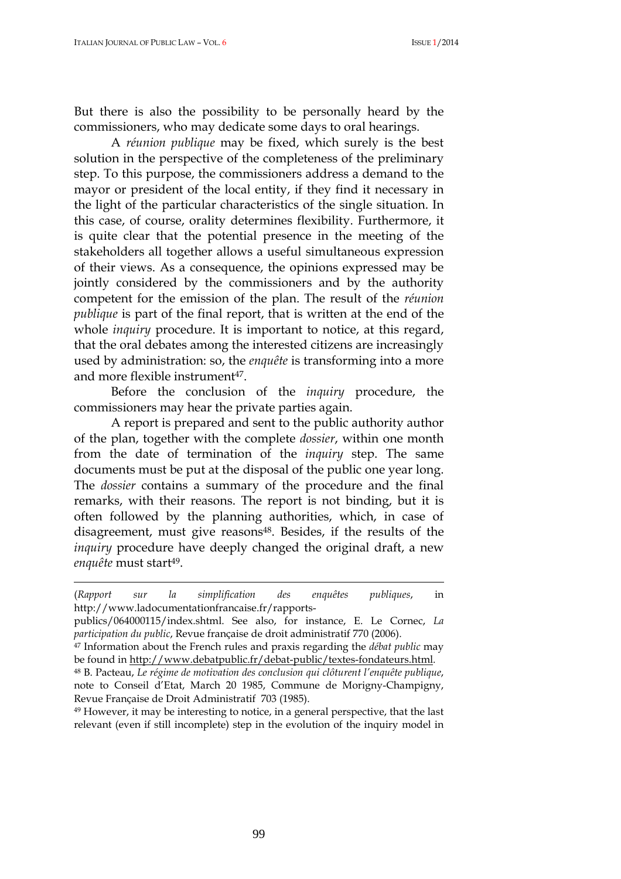But there is also the possibility to be personally heard by the commissioners, who may dedicate some days to oral hearings.

A *réunion publique* may be fixed, which surely is the best solution in the perspective of the completeness of the preliminary step. To this purpose, the commissioners address a demand to the mayor or president of the local entity, if they find it necessary in the light of the particular characteristics of the single situation. In this case, of course, orality determines flexibility. Furthermore, it is quite clear that the potential presence in the meeting of the stakeholders all together allows a useful simultaneous expression of their views. As a consequence, the opinions expressed may be jointly considered by the commissioners and by the authority competent for the emission of the plan. The result of the *réunion publique* is part of the final report, that is written at the end of the whole *inquiry* procedure. It is important to notice, at this regard, that the oral debates among the interested citizens are increasingly used by administration: so, the *enquête* is transforming into a more and more flexible instrument<sup>47</sup>.

Before the conclusion of the *inquiry* procedure, the commissioners may hear the private parties again.

A report is prepared and sent to the public authority author of the plan, together with the complete *dossier*, within one month from the date of termination of the *inquiry* step. The same documents must be put at the disposal of the public one year long. The *dossier* contains a summary of the procedure and the final remarks, with their reasons. The report is not binding, but it is often followed by the planning authorities, which, in case of disagreement, must give reasons<sup>48</sup>. Besides, if the results of the *inquiry* procedure have deeply changed the original draft, a new *enquête* must start<sup>49</sup>.

<sup>49</sup> However, it may be interesting to notice, in a general perspective, that the last relevant (even if still incomplete) step in the evolution of the inquiry model in

<sup>(</sup>*Rapport sur la simplification des enquêtes publiques*, in http://www.ladocumentationfrancaise.fr/rapports-

publics/064000115/index.shtml. See also, for instance, E. Le Cornec, *La participation du public*, Revue française de droit administratif 770 (2006).

<sup>47</sup> Information about the French rules and praxis regarding the *débat public* may be found in http://www.debatpublic.fr/debat-public/textes-fondateurs.html.

<sup>48</sup> B. Pacteau, *Le régime de motivation des conclusion qui clôturent l'enquête publique*, note to Conseil d'Etat, March 20 1985, Commune de Morigny-Champigny, Revue Française de Droit Administratif 703 (1985).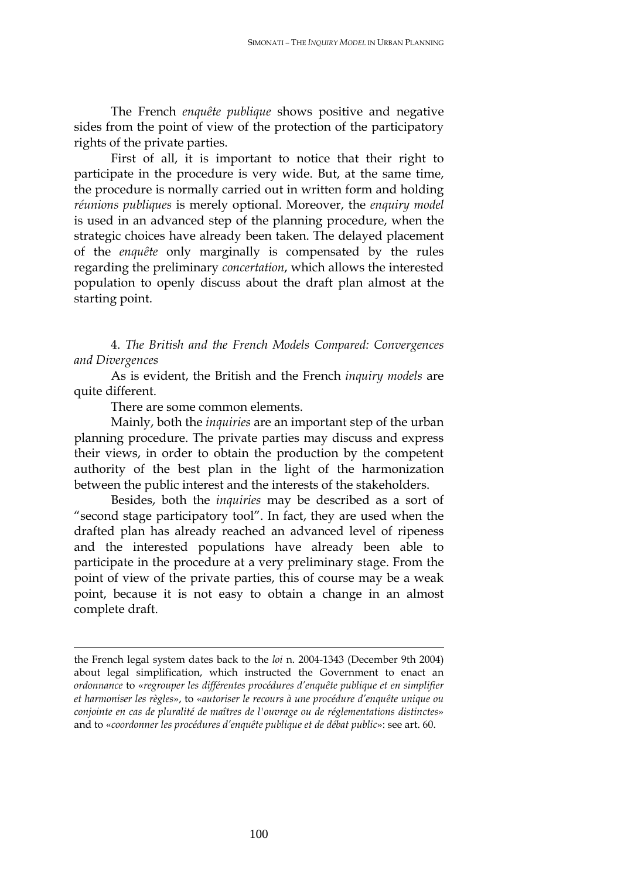The French *enquête publique* shows positive and negative sides from the point of view of the protection of the participatory rights of the private parties.

First of all, it is important to notice that their right to participate in the procedure is very wide. But, at the same time, the procedure is normally carried out in written form and holding *réunions publiques* is merely optional. Moreover, the *enquiry model* is used in an advanced step of the planning procedure, when the strategic choices have already been taken. The delayed placement of the *enquête* only marginally is compensated by the rules regarding the preliminary *concertation*, which allows the interested population to openly discuss about the draft plan almost at the starting point.

4. *The British and the French Models Compared: Convergences and Divergences*

As is evident, the British and the French *inquiry models* are quite different.

There are some common elements.

 $\overline{a}$ 

Mainly, both the *inquiries* are an important step of the urban planning procedure. The private parties may discuss and express their views, in order to obtain the production by the competent authority of the best plan in the light of the harmonization between the public interest and the interests of the stakeholders.

Besides, both the *inquiries* may be described as a sort of "second stage participatory tool". In fact, they are used when the drafted plan has already reached an advanced level of ripeness and the interested populations have already been able to participate in the procedure at a very preliminary stage. From the point of view of the private parties, this of course may be a weak point, because it is not easy to obtain a change in an almost complete draft.

the French legal system dates back to the *loi* n. 2004-1343 (December 9th 2004) about legal simplification, which instructed the Government to enact an *ordonnance* to «*regrouper les différentes procédures d'enquête publique et en simplifier et harmoniser les règles*», to «*autoriser le recours à une procédure d'enquête unique ou conjointe en cas de pluralité de maîtres de l'ouvrage ou de réglementations distinctes*» and to «*coordonner les procédures d'enquête publique et de débat public*»: see art. 60.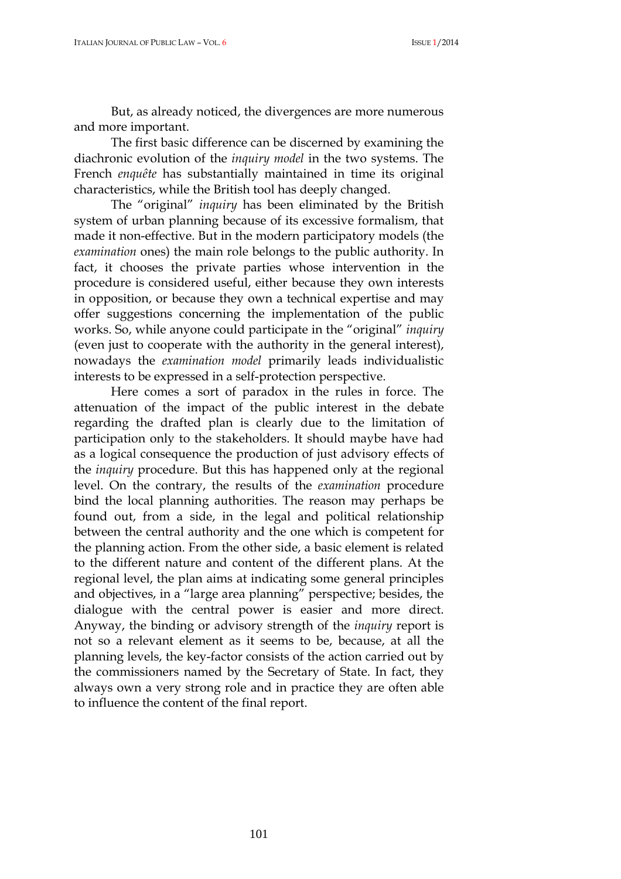But, as already noticed, the divergences are more numerous and more important.

The first basic difference can be discerned by examining the diachronic evolution of the *inquiry model* in the two systems. The French *enquête* has substantially maintained in time its original characteristics, while the British tool has deeply changed.

The "original" *inquiry* has been eliminated by the British system of urban planning because of its excessive formalism, that made it non-effective. But in the modern participatory models (the *examination* ones) the main role belongs to the public authority. In fact, it chooses the private parties whose intervention in the procedure is considered useful, either because they own interests in opposition, or because they own a technical expertise and may offer suggestions concerning the implementation of the public works. So, while anyone could participate in the "original" *inquiry* (even just to cooperate with the authority in the general interest), nowadays the *examination model* primarily leads individualistic interests to be expressed in a self-protection perspective.

Here comes a sort of paradox in the rules in force. The attenuation of the impact of the public interest in the debate regarding the drafted plan is clearly due to the limitation of participation only to the stakeholders. It should maybe have had as a logical consequence the production of just advisory effects of the *inquiry* procedure. But this has happened only at the regional level. On the contrary, the results of the *examination* procedure bind the local planning authorities. The reason may perhaps be found out, from a side, in the legal and political relationship between the central authority and the one which is competent for the planning action. From the other side, a basic element is related to the different nature and content of the different plans. At the regional level, the plan aims at indicating some general principles and objectives, in a "large area planning" perspective; besides, the dialogue with the central power is easier and more direct. Anyway, the binding or advisory strength of the *inquiry* report is not so a relevant element as it seems to be, because, at all the planning levels, the key-factor consists of the action carried out by the commissioners named by the Secretary of State. In fact, they always own a very strong role and in practice they are often able to influence the content of the final report.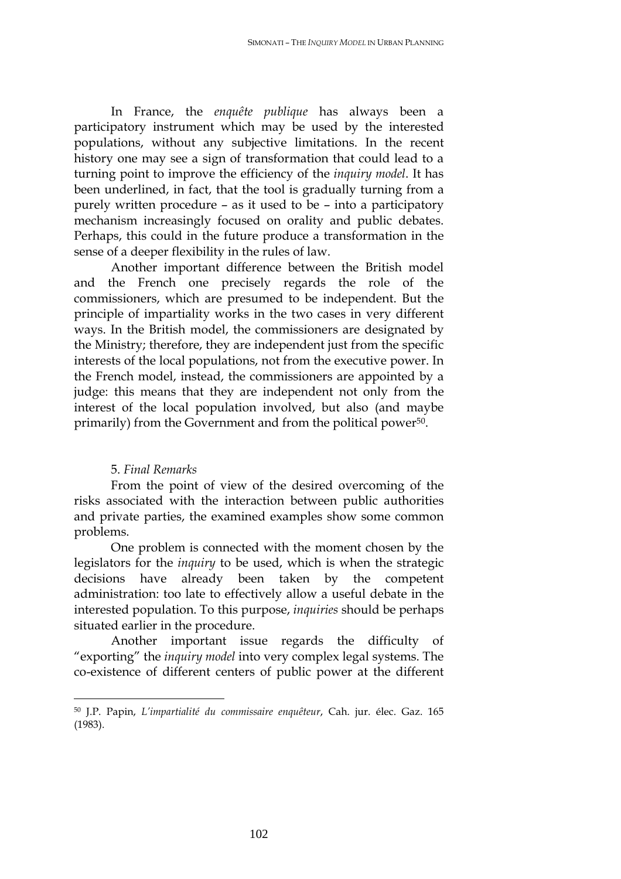In France, the *enquête publique* has always been a participatory instrument which may be used by the interested populations, without any subjective limitations. In the recent history one may see a sign of transformation that could lead to a turning point to improve the efficiency of the *inquiry model*. It has been underlined, in fact, that the tool is gradually turning from a purely written procedure – as it used to be – into a participatory mechanism increasingly focused on orality and public debates. Perhaps, this could in the future produce a transformation in the sense of a deeper flexibility in the rules of law.

Another important difference between the British model and the French one precisely regards the role of the commissioners, which are presumed to be independent. But the principle of impartiality works in the two cases in very different ways. In the British model, the commissioners are designated by the Ministry; therefore, they are independent just from the specific interests of the local populations, not from the executive power. In the French model, instead, the commissioners are appointed by a judge: this means that they are independent not only from the interest of the local population involved, but also (and maybe primarily) from the Government and from the political power<sup>50</sup>.

#### 5. *Final Remarks*

 $\overline{a}$ 

From the point of view of the desired overcoming of the risks associated with the interaction between public authorities and private parties, the examined examples show some common problems.

One problem is connected with the moment chosen by the legislators for the *inquiry* to be used, which is when the strategic decisions have already been taken by the competent administration: too late to effectively allow a useful debate in the interested population. To this purpose, *inquiries* should be perhaps situated earlier in the procedure.

Another important issue regards the difficulty of "exporting" the *inquiry model* into very complex legal systems. The co-existence of different centers of public power at the different

<sup>50</sup> J.P. Papin, *L'impartialité du commissaire enquêteur*, Cah. jur. élec. Gaz. 165 (1983).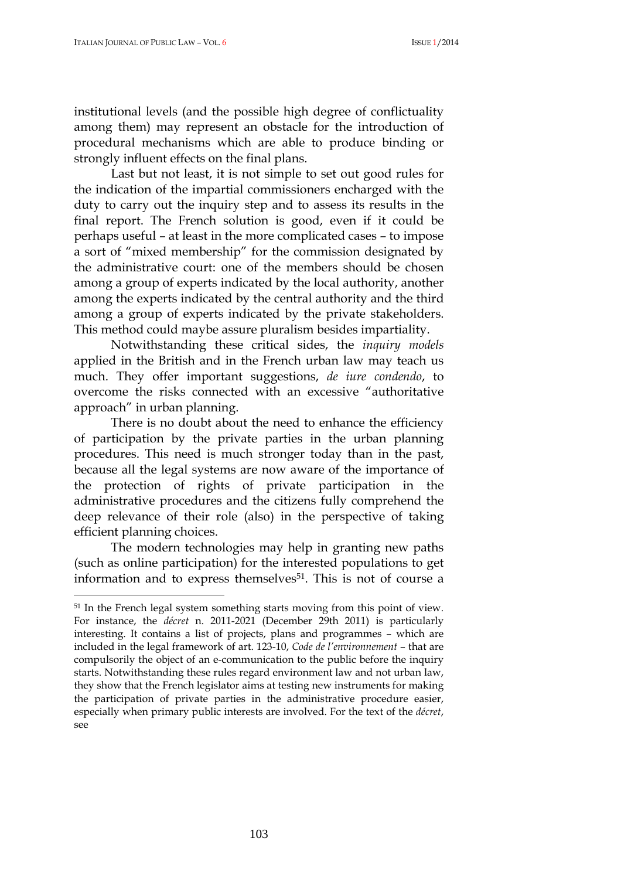institutional levels (and the possible high degree of conflictuality among them) may represent an obstacle for the introduction of procedural mechanisms which are able to produce binding or strongly influent effects on the final plans.

Last but not least, it is not simple to set out good rules for the indication of the impartial commissioners encharged with the duty to carry out the inquiry step and to assess its results in the final report. The French solution is good, even if it could be perhaps useful – at least in the more complicated cases – to impose a sort of "mixed membership" for the commission designated by the administrative court: one of the members should be chosen among a group of experts indicated by the local authority, another among the experts indicated by the central authority and the third among a group of experts indicated by the private stakeholders. This method could maybe assure pluralism besides impartiality.

Notwithstanding these critical sides, the *inquiry models* applied in the British and in the French urban law may teach us much. They offer important suggestions, *de iure condendo*, to overcome the risks connected with an excessive "authoritative approach" in urban planning.

There is no doubt about the need to enhance the efficiency of participation by the private parties in the urban planning procedures. This need is much stronger today than in the past, because all the legal systems are now aware of the importance of the protection of rights of private participation in the administrative procedures and the citizens fully comprehend the deep relevance of their role (also) in the perspective of taking efficient planning choices.

The modern technologies may help in granting new paths (such as online participation) for the interested populations to get information and to express themselves<sup>51</sup>. This is not of course a

<sup>51</sup> In the French legal system something starts moving from this point of view. For instance, the *décret* n. 2011-2021 (December 29th 2011) is particularly interesting. It contains a list of projects, plans and programmes – which are included in the legal framework of art. 123-10, *Code de l'environnement* – that are compulsorily the object of an e-communication to the public before the inquiry starts. Notwithstanding these rules regard environment law and not urban law, they show that the French legislator aims at testing new instruments for making the participation of private parties in the administrative procedure easier, especially when primary public interests are involved. For the text of the *décret*, see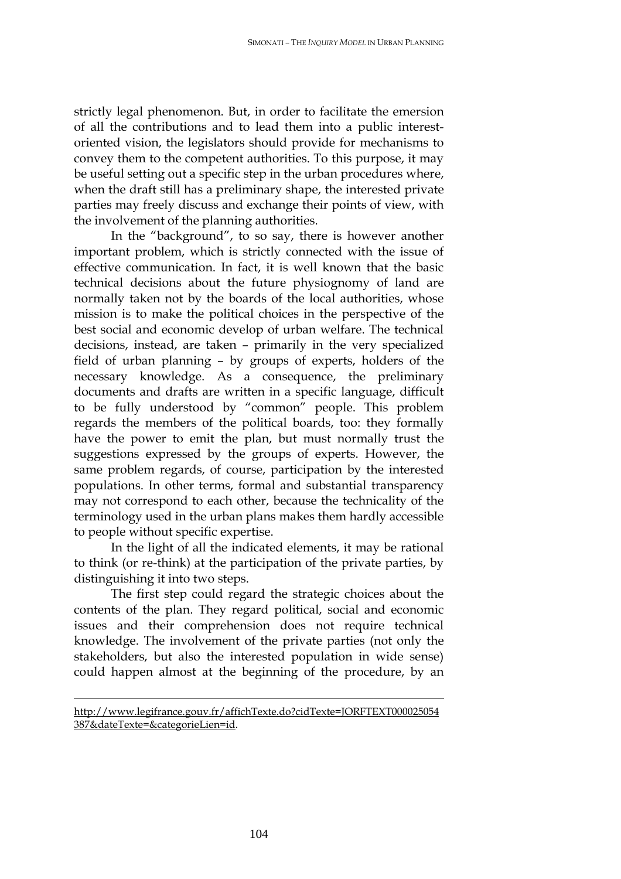strictly legal phenomenon. But, in order to facilitate the emersion of all the contributions and to lead them into a public interestoriented vision, the legislators should provide for mechanisms to convey them to the competent authorities. To this purpose, it may be useful setting out a specific step in the urban procedures where, when the draft still has a preliminary shape, the interested private parties may freely discuss and exchange their points of view, with the involvement of the planning authorities.

In the "background", to so say, there is however another important problem, which is strictly connected with the issue of effective communication. In fact, it is well known that the basic technical decisions about the future physiognomy of land are normally taken not by the boards of the local authorities, whose mission is to make the political choices in the perspective of the best social and economic develop of urban welfare. The technical decisions, instead, are taken – primarily in the very specialized field of urban planning – by groups of experts, holders of the necessary knowledge. As a consequence, the preliminary documents and drafts are written in a specific language, difficult to be fully understood by "common" people. This problem regards the members of the political boards, too: they formally have the power to emit the plan, but must normally trust the suggestions expressed by the groups of experts. However, the same problem regards, of course, participation by the interested populations. In other terms, formal and substantial transparency may not correspond to each other, because the technicality of the terminology used in the urban plans makes them hardly accessible to people without specific expertise.

In the light of all the indicated elements, it may be rational to think (or re-think) at the participation of the private parties, by distinguishing it into two steps.

The first step could regard the strategic choices about the contents of the plan. They regard political, social and economic issues and their comprehension does not require technical knowledge. The involvement of the private parties (not only the stakeholders, but also the interested population in wide sense) could happen almost at the beginning of the procedure, by an

http://www.legifrance.gouv.fr/affichTexte.do?cidTexte=JORFTEXT000025054 387&dateTexte=&categorieLien=id.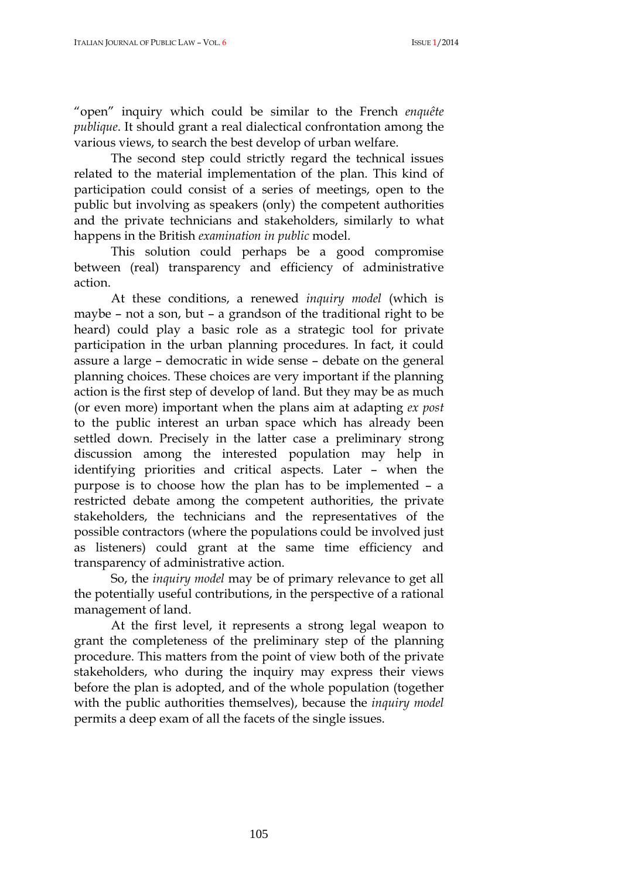"open" inquiry which could be similar to the French *enquête publique*. It should grant a real dialectical confrontation among the various views, to search the best develop of urban welfare.

The second step could strictly regard the technical issues related to the material implementation of the plan. This kind of participation could consist of a series of meetings, open to the public but involving as speakers (only) the competent authorities and the private technicians and stakeholders, similarly to what happens in the British *examination in public* model.

This solution could perhaps be a good compromise between (real) transparency and efficiency of administrative action.

At these conditions, a renewed *inquiry model* (which is maybe – not a son, but – a grandson of the traditional right to be heard) could play a basic role as a strategic tool for private participation in the urban planning procedures. In fact, it could assure a large – democratic in wide sense – debate on the general planning choices. These choices are very important if the planning action is the first step of develop of land. But they may be as much (or even more) important when the plans aim at adapting *ex post*  to the public interest an urban space which has already been settled down. Precisely in the latter case a preliminary strong discussion among the interested population may help in identifying priorities and critical aspects. Later – when the purpose is to choose how the plan has to be implemented – a restricted debate among the competent authorities, the private stakeholders, the technicians and the representatives of the possible contractors (where the populations could be involved just as listeners) could grant at the same time efficiency and transparency of administrative action.

So, the *inquiry model* may be of primary relevance to get all the potentially useful contributions, in the perspective of a rational management of land.

At the first level, it represents a strong legal weapon to grant the completeness of the preliminary step of the planning procedure. This matters from the point of view both of the private stakeholders, who during the inquiry may express their views before the plan is adopted, and of the whole population (together with the public authorities themselves), because the *inquiry model* permits a deep exam of all the facets of the single issues.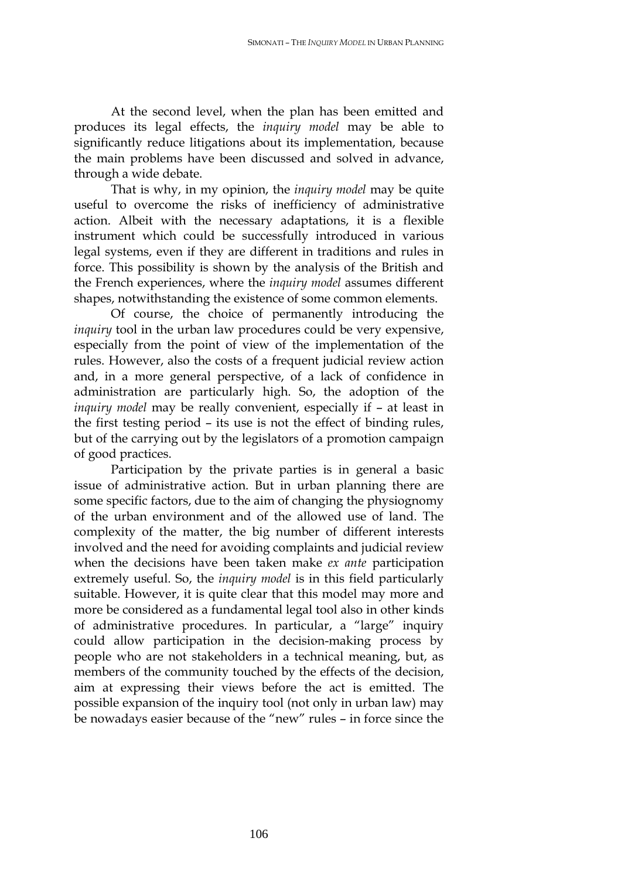At the second level, when the plan has been emitted and produces its legal effects, the *inquiry model* may be able to significantly reduce litigations about its implementation, because the main problems have been discussed and solved in advance, through a wide debate.

That is why, in my opinion, the *inquiry model* may be quite useful to overcome the risks of inefficiency of administrative action. Albeit with the necessary adaptations, it is a flexible instrument which could be successfully introduced in various legal systems, even if they are different in traditions and rules in force. This possibility is shown by the analysis of the British and the French experiences, where the *inquiry model* assumes different shapes, notwithstanding the existence of some common elements.

Of course, the choice of permanently introducing the *inquiry* tool in the urban law procedures could be very expensive, especially from the point of view of the implementation of the rules. However, also the costs of a frequent judicial review action and, in a more general perspective, of a lack of confidence in administration are particularly high. So, the adoption of the *inquiry model* may be really convenient, especially if – at least in the first testing period – its use is not the effect of binding rules, but of the carrying out by the legislators of a promotion campaign of good practices.

Participation by the private parties is in general a basic issue of administrative action. But in urban planning there are some specific factors, due to the aim of changing the physiognomy of the urban environment and of the allowed use of land. The complexity of the matter, the big number of different interests involved and the need for avoiding complaints and judicial review when the decisions have been taken make *ex ante* participation extremely useful. So, the *inquiry model* is in this field particularly suitable. However, it is quite clear that this model may more and more be considered as a fundamental legal tool also in other kinds of administrative procedures. In particular, a "large" inquiry could allow participation in the decision-making process by people who are not stakeholders in a technical meaning, but, as members of the community touched by the effects of the decision, aim at expressing their views before the act is emitted. The possible expansion of the inquiry tool (not only in urban law) may be nowadays easier because of the "new" rules – in force since the